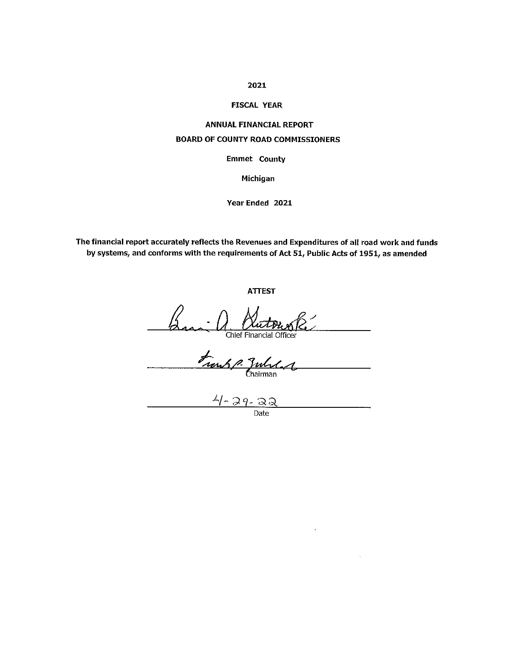## 2021

### **FISCAL YEAR**

# **ANNUAL FINANCIAL REPORT BOARD OF COUNTY ROAD COMMISSIONERS**

**Emmet County** 

Michigan

Year Ended 2021

The financial report accurately reflects the Revenues and Expenditures of all road work and funds by systems, and conforms with the requirements of Act 51, Public Acts of 1951, as amended

**ATTEST** 

Build Quetonor R Chief Financial Officer

Frank P. Zubeland  $\overline{\phantom{a}}$ 

 $4 - 29 - 22$ 

 $\ddot{\phantom{a}}$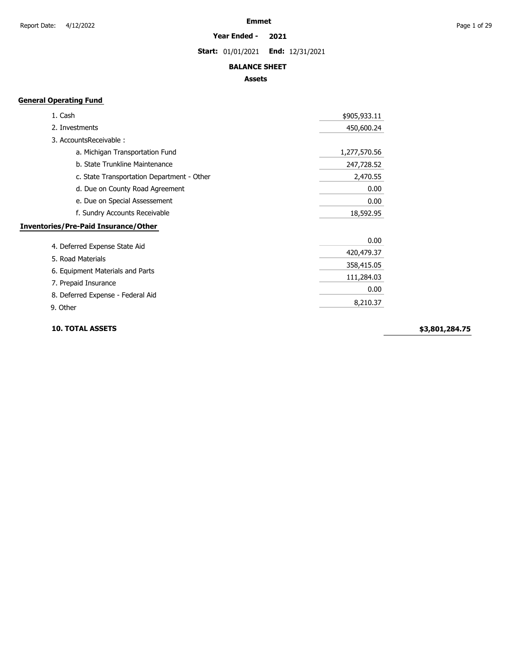### **Year Ended - 2021**

**Start:** 01/01/2021 **End:** 12/31/2021

### **BALANCE SHEET**

### **Assets**

## **General Operating Fund**

| 1. Cash                                     | \$905,933.11 |
|---------------------------------------------|--------------|
| 2. Investments                              | 450,600.24   |
| 3. AccountsReceivable:                      |              |
| a. Michigan Transportation Fund             | 1,277,570.56 |
| b. State Trunkline Maintenance              | 247,728.52   |
| c. State Transportation Department - Other  | 2,470.55     |
| d. Due on County Road Agreement             | 0.00         |
| e. Due on Special Assessement               | 0.00         |
| f. Sundry Accounts Receivable               | 18,592.95    |
| <b>Inventories/Pre-Paid Insurance/Other</b> |              |
|                                             | 0.00         |
| 4. Deferred Expense State Aid               | 420,479.37   |
| 5. Road Materials                           | 358,415.05   |
| 6. Equipment Materials and Parts            | 111,284.03   |
| 7. Prepaid Insurance                        |              |
| 8. Deferred Expense - Federal Aid           | 0.00         |
| 9. Other                                    | 8,210.37     |

### **10. TOTAL ASSETS**

**\$3,801,284.75**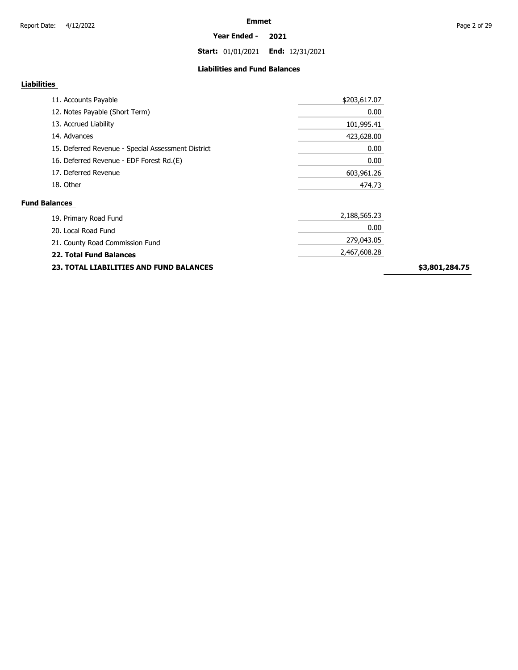**Start:** 01/01/2021 **End:** 12/31/2021

### **Liabilities and Fund Balances**

## **Liabilities**

| \$203,617.07 |
|--------------|
| 0.00         |
| 101,995.41   |
| 423,628.00   |
| 0.00         |
| 0.00         |
| 603,961.26   |
| 474.73       |
|              |
| 2,188,565.23 |
| 0.00         |
| 279,043.05   |
| 2,467,608.28 |
|              |

**23. TOTAL LIABILITIES AND FUND BALANCES**

**\$3,801,284.75**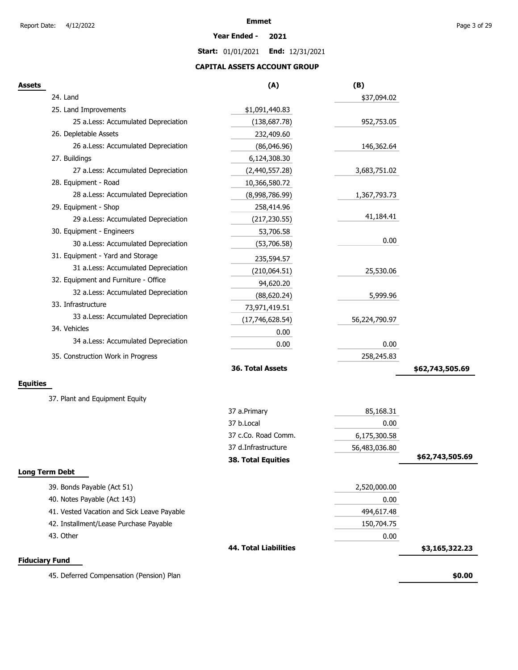### **Year Ended - 2021**

**Start:** 01/01/2021 **End:** 12/31/2021

## **CAPITAL ASSETS ACCOUNT GROUP**

| .,<br>۰.<br>. .<br>.,<br>۰.<br>۰.<br>× |
|----------------------------------------|
|----------------------------------------|

| Assets                |                                            | (A)                          | (B)           |                 |
|-----------------------|--------------------------------------------|------------------------------|---------------|-----------------|
|                       | 24. Land                                   |                              | \$37,094.02   |                 |
|                       | 25. Land Improvements                      | \$1,091,440.83               |               |                 |
|                       | 25 a.Less: Accumulated Depreciation        | (138, 687.78)                | 952,753.05    |                 |
|                       | 26. Depletable Assets                      | 232,409.60                   |               |                 |
|                       | 26 a.Less: Accumulated Depreciation        | (86,046.96)                  | 146,362.64    |                 |
|                       | 27. Buildings                              | 6,124,308.30                 |               |                 |
|                       | 27 a.Less: Accumulated Depreciation        | (2,440,557.28)               | 3,683,751.02  |                 |
|                       | 28. Equipment - Road                       | 10,366,580.72                |               |                 |
|                       | 28 a.Less: Accumulated Depreciation        | (8,998,786.99)               | 1,367,793.73  |                 |
|                       | 29. Equipment - Shop                       | 258,414.96                   |               |                 |
|                       | 29 a.Less: Accumulated Depreciation        | (217, 230.55)                | 41,184.41     |                 |
|                       | 30. Equipment - Engineers                  | 53,706.58                    |               |                 |
|                       | 30 a.Less: Accumulated Depreciation        | (53,706.58)                  | 0.00          |                 |
|                       | 31. Equipment - Yard and Storage           | 235,594.57                   |               |                 |
|                       | 31 a.Less: Accumulated Depreciation        | (210,064.51)                 | 25,530.06     |                 |
|                       | 32. Equipment and Furniture - Office       | 94,620.20                    |               |                 |
|                       | 32 a.Less: Accumulated Depreciation        | (88, 620.24)                 | 5,999.96      |                 |
|                       | 33. Infrastructure                         | 73,971,419.51                |               |                 |
|                       | 33 a.Less: Accumulated Depreciation        | (17,746,628.54)              | 56,224,790.97 |                 |
|                       | 34. Vehicles                               | 0.00                         |               |                 |
|                       | 34 a.Less: Accumulated Depreciation        | 0.00                         | 0.00          |                 |
|                       | 35. Construction Work in Progress          |                              | 258,245.83    |                 |
|                       |                                            | 36. Total Assets             |               | \$62,743,505.69 |
| <b>Equities</b>       |                                            |                              |               |                 |
|                       |                                            |                              |               |                 |
|                       | 37. Plant and Equipment Equity             |                              |               |                 |
|                       |                                            | 37 a.Primary                 | 85,168.31     |                 |
|                       |                                            | 37 b.Local                   | 0.00          |                 |
|                       |                                            | 37 c.Co. Road Comm.          | 6,175,300.58  |                 |
|                       |                                            | 37 d.Infrastructure          | 56,483,036.80 |                 |
|                       |                                            | <b>38. Total Equities</b>    |               | \$62,743,505.69 |
| <b>Long Term Debt</b> |                                            |                              |               |                 |
|                       | 39. Bonds Payable (Act 51)                 |                              | 2,520,000.00  |                 |
|                       | 40. Notes Payable (Act 143)                |                              | 0.00          |                 |
|                       | 41. Vested Vacation and Sick Leave Payable |                              | 494,617.48    |                 |
|                       | 42. Installment/Lease Purchase Payable     |                              | 150,704.75    |                 |
|                       | 43. Other                                  |                              | 0.00          |                 |
|                       |                                            | <b>44. Total Liabilities</b> |               | \$3,165,322.23  |
| <b>Fiduciary Fund</b> |                                            |                              |               |                 |
|                       | 45. Deferred Compensation (Pension) Plan   |                              |               | \$0.00          |
|                       |                                            |                              |               |                 |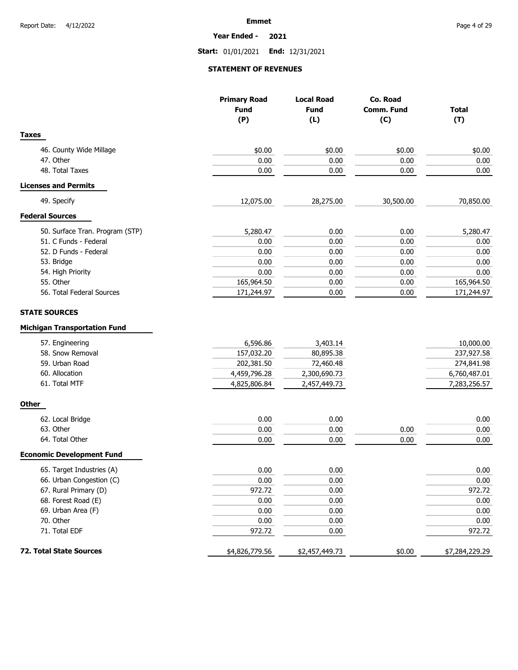**Year Ended - 2021**

**Start:** 01/01/2021 **End:** 12/31/2021

### **STATEMENT OF REVENUES**

|                                     | <b>Primary Road</b> | <b>Local Road</b> | Co. Road          |                |
|-------------------------------------|---------------------|-------------------|-------------------|----------------|
|                                     | <b>Fund</b>         | <b>Fund</b>       | <b>Comm. Fund</b> | <b>Total</b>   |
|                                     | (P)                 | (L)               | (C)               | (T)            |
| <b>Taxes</b>                        |                     |                   |                   |                |
| 46. County Wide Millage             | \$0.00              | \$0.00            | \$0.00            | \$0.00         |
| 47. Other                           | 0.00                | 0.00              | 0.00              | 0.00           |
| 48. Total Taxes                     | 0.00                | 0.00              | 0.00              | 0.00           |
| <b>Licenses and Permits</b>         |                     |                   |                   |                |
| 49. Specify                         | 12,075.00           | 28,275.00         | 30,500.00         | 70,850.00      |
| <b>Federal Sources</b>              |                     |                   |                   |                |
| 50. Surface Tran. Program (STP)     | 5,280.47            | 0.00              | 0.00              | 5,280.47       |
| 51. C Funds - Federal               | 0.00                | 0.00              | 0.00              | 0.00           |
| 52. D Funds - Federal               | 0.00                | 0.00              | 0.00              | 0.00           |
| 53. Bridge                          | 0.00                | 0.00              | 0.00              | 0.00           |
| 54. High Priority                   | 0.00                | 0.00              | 0.00              | 0.00           |
| 55. Other                           | 165,964.50          | 0.00              | 0.00              | 165,964.50     |
| 56. Total Federal Sources           | 171,244.97          | 0.00              | 0.00              | 171,244.97     |
| <b>STATE SOURCES</b>                |                     |                   |                   |                |
| <b>Michigan Transportation Fund</b> |                     |                   |                   |                |
| 57. Engineering                     | 6,596.86            | 3,403.14          |                   | 10,000.00      |
| 58. Snow Removal                    | 157,032.20          | 80,895.38         |                   | 237,927.58     |
| 59. Urban Road                      | 202,381.50          | 72,460.48         |                   | 274,841.98     |
| 60. Allocation                      | 4,459,796.28        | 2,300,690.73      |                   | 6,760,487.01   |
| 61. Total MTF                       | 4,825,806.84        | 2,457,449.73      |                   | 7,283,256.57   |
| <b>Other</b>                        |                     |                   |                   |                |
| 62. Local Bridge                    | 0.00                | 0.00              |                   | 0.00           |
| 63. Other                           | 0.00                | 0.00              | 0.00              | 0.00           |
| 64. Total Other                     | 0.00                | 0.00              | 0.00              | 0.00           |
| <b>Economic Development Fund</b>    |                     |                   |                   |                |
| 65. Target Industries (A)           | 0.00                | 0.00              |                   | 0.00           |
| 66. Urban Congestion (C)            | 0.00                | 0.00              |                   | 0.00           |
| 67. Rural Primary (D)               | 972.72              | 0.00              |                   | 972.72         |
| 68. Forest Road (E)                 | 0.00                | 0.00              |                   | 0.00           |
| 69. Urban Area (F)                  | 0.00                | 0.00              |                   | 0.00           |
| 70. Other                           | 0.00                | 0.00              |                   | 0.00           |
| 71. Total EDF                       | 972.72              | 0.00              |                   | 972.72         |
| 72. Total State Sources             | \$4,826,779.56      | \$2,457,449.73    | \$0.00            | \$7,284,229.29 |
|                                     |                     |                   |                   |                |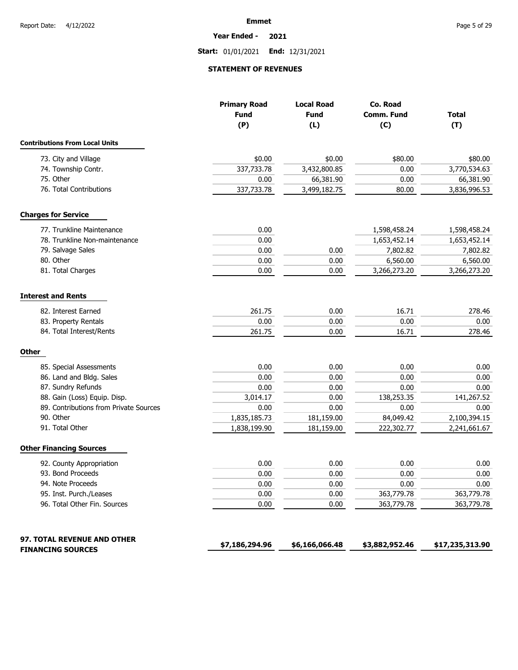**Year Ended - 2021**

**Start:** 01/01/2021 **End:** 12/31/2021

### **STATEMENT OF REVENUES**

|                                        | <b>Primary Road</b> | <b>Local Road</b> | Co. Road       |                 |
|----------------------------------------|---------------------|-------------------|----------------|-----------------|
|                                        | <b>Fund</b>         | <b>Fund</b>       | Comm. Fund     | <b>Total</b>    |
|                                        | (P)                 | (L)               | (C)            | (T)             |
| <b>Contributions From Local Units</b>  |                     |                   |                |                 |
| 73. City and Village                   | \$0.00              | \$0.00            | \$80.00        | \$80.00         |
| 74. Township Contr.                    | 337,733.78          | 3,432,800.85      | 0.00           | 3,770,534.63    |
| 75. Other                              | 0.00                | 66,381.90         | 0.00           | 66,381.90       |
| 76. Total Contributions                | 337,733.78          | 3,499,182.75      | 80.00          | 3,836,996.53    |
| <b>Charges for Service</b>             |                     |                   |                |                 |
| 77. Trunkline Maintenance              | 0.00                |                   | 1,598,458.24   | 1,598,458.24    |
| 78. Trunkline Non-maintenance          | 0.00                |                   | 1,653,452.14   | 1,653,452.14    |
| 79. Salvage Sales                      | 0.00                | 0.00              | 7,802.82       | 7,802.82        |
| 80. Other                              | 0.00                | 0.00              | 6,560.00       | 6,560.00        |
| 81. Total Charges                      | 0.00                | 0.00              | 3,266,273.20   | 3,266,273.20    |
| <b>Interest and Rents</b>              |                     |                   |                |                 |
| 82. Interest Earned                    | 261.75              | 0.00              | 16.71          | 278.46          |
| 83. Property Rentals                   | 0.00                | 0.00              | 0.00           | 0.00            |
| 84. Total Interest/Rents               | 261.75              | 0.00              | 16.71          | 278.46          |
| <b>Other</b>                           |                     |                   |                |                 |
| 85. Special Assessments                | 0.00                | 0.00              | 0.00           | 0.00            |
| 86. Land and Bldg. Sales               | 0.00                | 0.00              | 0.00           | 0.00            |
| 87. Sundry Refunds                     | 0.00                | 0.00              | 0.00           | 0.00            |
| 88. Gain (Loss) Equip. Disp.           | 3,014.17            | 0.00              | 138,253.35     | 141,267.52      |
| 89. Contributions from Private Sources | 0.00                | 0.00              | 0.00           | 0.00            |
| 90. Other                              | 1,835,185.73        | 181,159.00        | 84,049.42      | 2,100,394.15    |
| 91. Total Other                        | 1,838,199.90        | 181,159.00        | 222,302.77     | 2,241,661.67    |
| <b>Other Financing Sources</b>         |                     |                   |                |                 |
| 92. County Appropriation               | 0.00                | 0.00              | 0.00           | 0.00            |
| 93. Bond Proceeds                      | 0.00                | 0.00              | 0.00           | 0.00            |
| 94. Note Proceeds                      | 0.00                | 0.00              | 0.00           | 0.00            |
| 95. Inst. Purch./Leases                | 0.00                | 0.00              | 363,779.78     | 363,779.78      |
| 96. Total Other Fin. Sources           | 0.00                | 0.00              | 363,779.78     | 363,779.78      |
| 97. TOTAL REVENUE AND OTHER            | \$7,186,294.96      | \$6,166,066.48    | \$3,882,952.46 | \$17,235,313.90 |
| <b>FINANCING SOURCES</b>               |                     |                   |                |                 |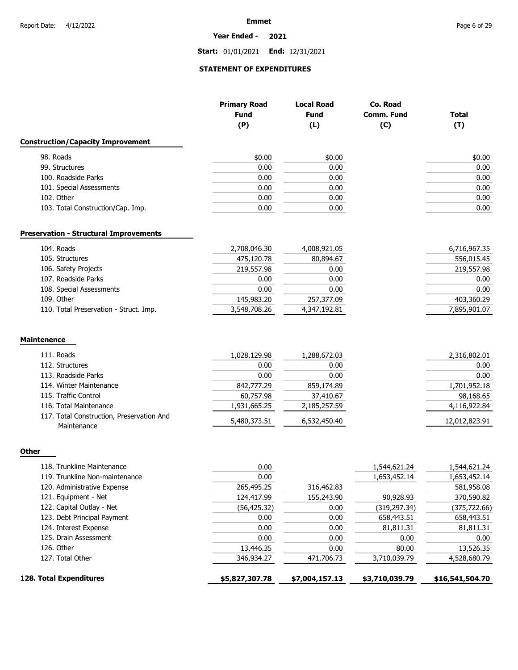### **Year Ended - 2021**

**Start:** 01/01/2021 **End:** 12/31/2021

### **STATEMENT OF EXPENDITURES**

|                                                          | <b>Primary Road</b><br><b>Fund</b><br>(P) | <b>Local Road</b><br><b>Fund</b><br>(L) | Co. Road<br><b>Comm. Fund</b><br>(C) | <b>Total</b><br>(T) |
|----------------------------------------------------------|-------------------------------------------|-----------------------------------------|--------------------------------------|---------------------|
| <b>Construction/Capacity Improvement</b>                 |                                           |                                         |                                      |                     |
| 98. Roads                                                | \$0.00                                    | \$0.00                                  |                                      | \$0.00              |
| 99. Structures                                           | 0.00                                      | 0.00                                    |                                      | 0.00                |
| 100. Roadside Parks                                      | 0.00                                      | 0.00                                    |                                      | 0.00                |
| 101. Special Assessments                                 | 0.00                                      | 0.00                                    |                                      | 0.00                |
| 102. Other                                               | 0.00                                      | 0.00                                    |                                      | 0.00                |
| 103. Total Construction/Cap. Imp.                        | 0.00                                      | 0.00                                    |                                      | 0.00                |
| <b>Preservation - Structural Improvements</b>            |                                           |                                         |                                      |                     |
| 104. Roads                                               | 2,708,046.30                              | 4,008,921.05                            |                                      | 6,716,967.35        |
| 105. Structures                                          | 475,120.78                                | 80,894.67                               |                                      | 556,015.45          |
| 106. Safety Projects                                     | 219,557.98                                | 0.00                                    |                                      | 219,557.98          |
| 107. Roadside Parks                                      | 0.00                                      | 0.00                                    |                                      | 0.00                |
| 108. Special Assessments                                 | 0.00                                      | 0.00                                    |                                      | 0.00                |
| 109. Other                                               | 145,983.20                                | 257,377.09                              |                                      | 403,360.29          |
| 110. Total Preservation - Struct. Imp.                   | 3,548,708.26                              | 4,347,192.81                            |                                      | 7,895,901.07        |
| <b>Maintenence</b>                                       |                                           |                                         |                                      |                     |
| 111. Roads                                               | 1,028,129.98                              | 1,288,672.03                            |                                      | 2,316,802.01        |
| 112. Structures                                          | 0.00                                      | 0.00                                    |                                      | 0.00                |
| 113. Roadside Parks                                      | 0.00                                      | 0.00                                    |                                      | 0.00                |
| 114. Winter Maintenance                                  | 842,777.29                                | 859,174.89                              |                                      | 1,701,952.18        |
| 115. Traffic Control                                     | 60,757.98                                 | 37,410.67                               |                                      | 98,168.65           |
| 116. Total Maintenance                                   | 1,931,665.25                              | 2,185,257.59                            |                                      | 4,116,922.84        |
| 117. Total Construction, Preservation And<br>Maintenance | 5,480,373.51                              | 6,532,450.40                            |                                      | 12,012,823.91       |
| <b>Other</b>                                             |                                           |                                         |                                      |                     |
| 118. Trunkline Maintenance                               | 0.00                                      |                                         | 1,544,621.24                         | 1,544,621.24        |
| 119. Trunkline Non-maintenance                           | 0.00                                      |                                         | 1,653,452.14                         | 1,653,452.14        |
| 120. Administrative Expense                              | 265,495.25                                | 316,462.83                              |                                      | 581,958.08          |
| 121. Equipment - Net                                     | 124,417.99                                | 155,243.90                              | 90,928.93                            | 370,590.82          |
| 122. Capital Outlay - Net                                | (56, 425.32)                              | 0.00                                    | (319, 297.34)                        | (375, 722.66)       |
| 123. Debt Principal Payment                              | 0.00                                      | 0.00                                    | 658,443.51                           | 658,443.51          |
| 124. Interest Expense                                    | 0.00                                      | 0.00                                    | 81,811.31                            | 81,811.31           |
| 125. Drain Assessment                                    | 0.00                                      | 0.00                                    | 0.00                                 | 0.00                |
| 126. Other                                               | 13,446.35                                 | 0.00                                    | 80.00                                | 13,526.35           |
| 127. Total Other                                         | 346,934.27                                | 471,706.73                              | 3,710,039.79                         | 4,528,680.79        |
| 128. Total Expenditures                                  | \$5,827,307.78                            | \$7,004,157.13                          | \$3,710,039.79                       | \$16,541,504.70     |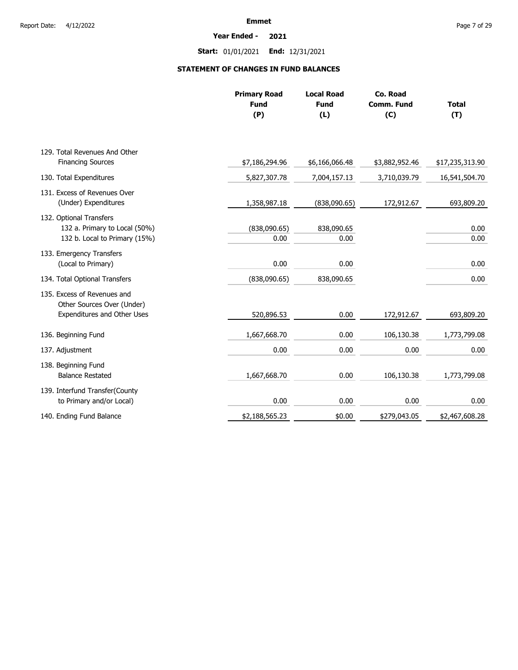**Year Ended - 2021**

**Start:** 01/01/2021 **End:** 12/31/2021

## **STATEMENT OF CHANGES IN FUND BALANCES**

|                                                                                           | <b>Primary Road</b><br><b>Fund</b><br>(P) | <b>Local Road</b><br><b>Fund</b><br>(L) | Co. Road<br>Comm. Fund<br>(C) | <b>Total</b><br>(T) |
|-------------------------------------------------------------------------------------------|-------------------------------------------|-----------------------------------------|-------------------------------|---------------------|
| 129. Total Revenues And Other                                                             |                                           |                                         |                               |                     |
| <b>Financing Sources</b>                                                                  | \$7,186,294.96                            | \$6,166,066.48                          | \$3,882,952.46                | \$17,235,313.90     |
| 130. Total Expenditures                                                                   | 5,827,307.78                              | 7,004,157.13                            | 3,710,039.79                  | 16,541,504.70       |
| 131. Excess of Revenues Over<br>(Under) Expenditures                                      | 1,358,987.18                              | (838,090.65)                            | 172,912.67                    | 693,809.20          |
| 132. Optional Transfers<br>132 a. Primary to Local (50%)<br>132 b. Local to Primary (15%) | (838,090.65)<br>0.00                      | 838,090.65<br>0.00                      |                               | 0.00<br>0.00        |
| 133. Emergency Transfers<br>(Local to Primary)                                            | 0.00                                      | 0.00                                    |                               | 0.00                |
| 134. Total Optional Transfers                                                             | (838,090.65)                              | 838,090.65                              |                               | 0.00                |
| 135. Excess of Revenues and<br>Other Sources Over (Under)<br>Expenditures and Other Uses  | 520,896.53                                | 0.00                                    | 172,912.67                    | 693,809.20          |
| 136. Beginning Fund                                                                       | 1,667,668.70                              | 0.00                                    | 106,130.38                    | 1,773,799.08        |
| 137. Adjustment                                                                           | 0.00                                      | 0.00                                    | 0.00                          | 0.00                |
| 138. Beginning Fund<br><b>Balance Restated</b>                                            | 1,667,668.70                              | 0.00                                    | 106,130.38                    | 1,773,799.08        |
| 139. Interfund Transfer(County<br>to Primary and/or Local)                                | 0.00                                      | 0.00                                    | 0.00                          | 0.00                |
| 140. Ending Fund Balance                                                                  | \$2,188,565.23                            | \$0.00                                  | \$279,043.05                  | \$2,467,608.28      |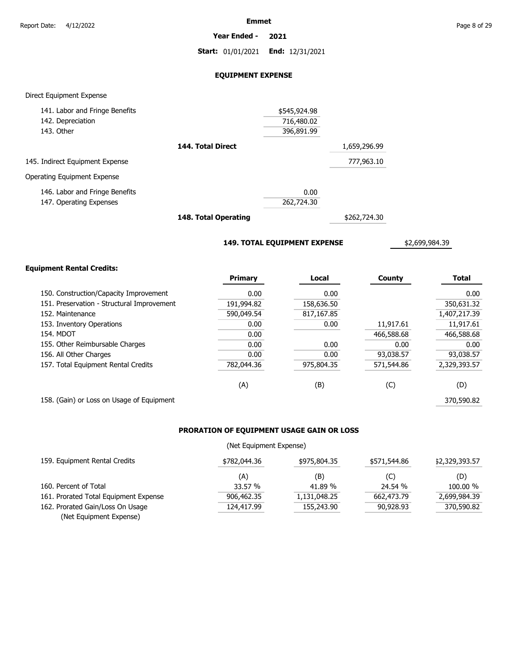**Year Ended - 2021**

**Start:** 01/01/2021 **End:** 12/31/2021

### **EQUIPMENT EXPENSE**

### Direct Equipment Expense

| 141. Labor and Fringe Benefits  |                   | \$545,924.98 |              |
|---------------------------------|-------------------|--------------|--------------|
| 142. Depreciation               |                   | 716,480.02   |              |
| 143. Other                      |                   | 396,891.99   |              |
|                                 | 144. Total Direct |              | 1,659,296.99 |
| 145. Indirect Equipment Expense |                   |              | 777,963.10   |
| Operating Equipment Expense     |                   |              |              |
| 146. Labor and Fringe Benefits  |                   | 0.00         |              |
| 147. Operating Expenses         |                   | 262,724.30   |              |
|                                 | .                 |              |              |

**148. Total Operating**

\$262,724.30

**149. TOTAL EQUIPMENT EXPENSE**

\$2,699,984.39

### **Equipment Rental Credits:**

|                                            | Primary    | Local      | County     | <b>Total</b> |
|--------------------------------------------|------------|------------|------------|--------------|
| 150. Construction/Capacity Improvement     | 0.00       | 0.00       |            | 0.00         |
| 151. Preservation - Structural Improvement | 191,994.82 | 158,636.50 |            | 350,631.32   |
| 152. Maintenance                           | 590,049.54 | 817,167.85 |            | 1,407,217.39 |
| 153. Inventory Operations                  | 0.00       | 0.00       | 11,917.61  | 11,917.61    |
| 154. MDOT                                  | 0.00       |            | 466,588.68 | 466,588.68   |
| 155. Other Reimbursable Charges            | 0.00       | 0.00       | 0.00       | 0.00         |
| 156. All Other Charges                     | 0.00       | 0.00       | 93,038.57  | 93,038.57    |
| 157. Total Equipment Rental Credits        | 782,044.36 | 975,804.35 | 571,544.86 | 2,329,393.57 |
|                                            | (A)        | (B)        | (C)        | (D)          |
| 158. (Gain) or Loss on Usage of Equipment  |            |            |            | 370,590.82   |

## **PRORATION OF EQUIPMENT USAGE GAIN OR LOSS**

### (Net Equipment Expense)

| 159. Equipment Rental Credits         | \$782,044.36 | \$975,804.35 | \$571,544.86 | \$2,329,393.57 |
|---------------------------------------|--------------|--------------|--------------|----------------|
|                                       | (A)          | (B)          | (C)          | (D)            |
| 160. Percent of Total                 | 33.57 %      | 41.89 %      | 24.54 %      | 100.00 %       |
| 161. Prorated Total Equipment Expense | 906,462.35   | 1,131,048.25 | 662,473.79   | 2,699,984.39   |
| 162. Prorated Gain/Loss On Usage      | 124,417.99   | 155,243.90   | 90,928,93    | 370,590.82     |
| (Net Equipment Expense)               |              |              |              |                |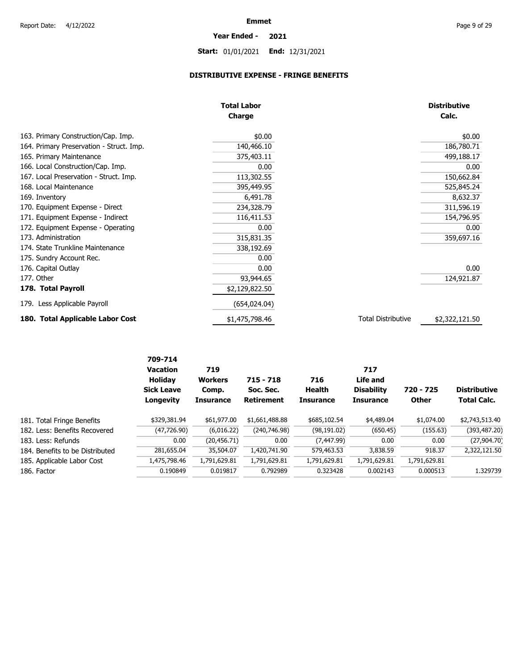**Year Ended - 2021**

# **Start:** 01/01/2021 **End:** 12/31/2021

## **DISTRIBUTIVE EXPENSE - FRINGE BENEFITS**

|                                          | <b>Total Labor</b><br><b>Charge</b> |                           | <b>Distributive</b><br>Calc. |
|------------------------------------------|-------------------------------------|---------------------------|------------------------------|
| 163. Primary Construction/Cap. Imp.      | \$0.00                              |                           | \$0.00                       |
| 164. Primary Preservation - Struct. Imp. | 140,466.10                          |                           | 186,780.71                   |
| 165. Primary Maintenance                 | 375,403.11                          |                           | 499,188.17                   |
| 166. Local Construction/Cap. Imp.        | 0.00                                |                           | 0.00                         |
| 167. Local Preservation - Struct. Imp.   | 113,302.55                          |                           | 150,662.84                   |
| 168. Local Maintenance                   | 395,449.95                          |                           | 525,845.24                   |
| 169. Inventory                           | 6,491.78                            |                           | 8,632.37                     |
| 170. Equipment Expense - Direct          | 234,328.79                          |                           | 311,596.19                   |
| 171. Equipment Expense - Indirect        | 116,411.53                          |                           | 154,796.95                   |
| 172. Equipment Expense - Operating       | 0.00                                |                           | 0.00                         |
| 173. Administration                      | 315,831.35                          |                           | 359,697.16                   |
| 174. State Trunkline Maintenance         | 338,192.69                          |                           |                              |
| 175. Sundry Account Rec.                 | 0.00                                |                           |                              |
| 176. Capital Outlay                      | 0.00                                |                           | 0.00                         |
| 177. Other                               | 93,944.65                           |                           | 124,921.87                   |
| 178. Total Payroll                       | \$2,129,822.50                      |                           |                              |
| 179. Less Applicable Payroll             | (654, 024.04)                       |                           |                              |
| 180. Total Applicable Labor Cost         | \$1,475,798.46                      | <b>Total Distributive</b> | \$2,322,121.50               |

|                                 | 709-714<br><b>Vacation</b><br><b>Holiday</b><br><b>Sick Leave</b><br>Longevity | 719<br><b>Workers</b><br>Comp.<br><b>Insurance</b> | $715 - 718$<br>Soc. Sec.<br><b>Retirement</b> | 716<br>Health<br><b>Insurance</b> | 717<br>Life and<br><b>Disability</b><br><b>Insurance</b> | 720 - 725<br><b>Other</b> | <b>Distributive</b><br><b>Total Calc.</b> |
|---------------------------------|--------------------------------------------------------------------------------|----------------------------------------------------|-----------------------------------------------|-----------------------------------|----------------------------------------------------------|---------------------------|-------------------------------------------|
| 181. Total Fringe Benefits      | \$329,381.94                                                                   | \$61,977.00                                        | \$1,661,488.88                                | \$685,102.54                      | \$4,489.04                                               | \$1,074.00                | \$2,743,513.40                            |
| 182. Less: Benefits Recovered   | (47, 726.90)                                                                   | (6,016.22)                                         | (240,746.98)                                  | (98, 191.02)                      | (650.45)                                                 | (155.63)                  | (393, 487.20)                             |
| 183. Less: Refunds              | 0.00                                                                           | (20, 456.71)                                       | 0.00                                          | (7, 447.99)                       | 0.00                                                     | 0.00                      | (27,904.70)                               |
| 184. Benefits to be Distributed | 281,655.04                                                                     | 35,504.07                                          | 1,420,741,90                                  | 579,463.53                        | 3,838.59                                                 | 918.37                    | 2,322,121.50                              |
| 185. Applicable Labor Cost      | 1,475,798.46                                                                   | 1,791,629.81                                       | 1,791,629.81                                  | 1,791,629.81                      | 1,791,629.81                                             | 1,791,629.81              |                                           |
| 186. Factor                     | 0.190849                                                                       | 0.019817                                           | 0.792989                                      | 0.323428                          | 0.002143                                                 | 0.000513                  | 1.329739                                  |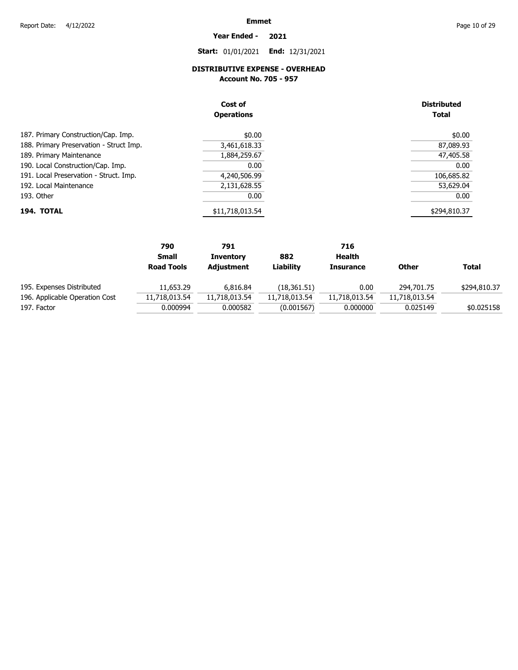**Year Ended - 2021**

**Start:** 01/01/2021 **End:** 12/31/2021

### **DISTRIBUTIVE EXPENSE - OVERHEAD**

**Account No. 705 - 957** 

|                                         | Cost of<br><b>Operations</b> | <b>Distributed</b><br><b>Total</b> |
|-----------------------------------------|------------------------------|------------------------------------|
| 187. Primary Construction/Cap. Imp.     | \$0.00                       | \$0.00                             |
| 188. Primary Preservation - Struct Imp. | 3,461,618.33                 | 87,089.93                          |
| 189. Primary Maintenance                | 1,884,259.67                 | 47,405.58                          |
| 190. Local Construction/Cap. Imp.       | 0.00                         | 0.00                               |
| 191. Local Preservation - Struct. Imp.  | 4,240,506.99                 | 106,685.82                         |
| 192. Local Maintenance                  | 2,131,628.55                 | 53,629.04                          |
| 193. Other                              | 0.00                         | 0.00                               |
| 194. TOTAL                              | \$11,718,013.54              | \$294,810.37                       |

|                                | 790               | 791              |               | 716              |               |              |
|--------------------------------|-------------------|------------------|---------------|------------------|---------------|--------------|
|                                | <b>Small</b>      | <b>Inventory</b> | 882           | Health           |               |              |
|                                | <b>Road Tools</b> | Adjustment       | Liability     | <b>Insurance</b> | <b>Other</b>  | Total        |
| 195. Expenses Distributed      | 11,653.29         | 6.816.84         | (18, 361.51)  | 0.00             | 294,701.75    | \$294,810.37 |
| 196. Applicable Operation Cost | 11,718,013.54     | 11,718,013.54    | 11,718,013.54 | 11,718,013.54    | 11,718,013.54 |              |
| 197. Factor                    | 0.000994          | 0.000582         | (0.001567)    | 0.000000         | 0.025149      | \$0.025158   |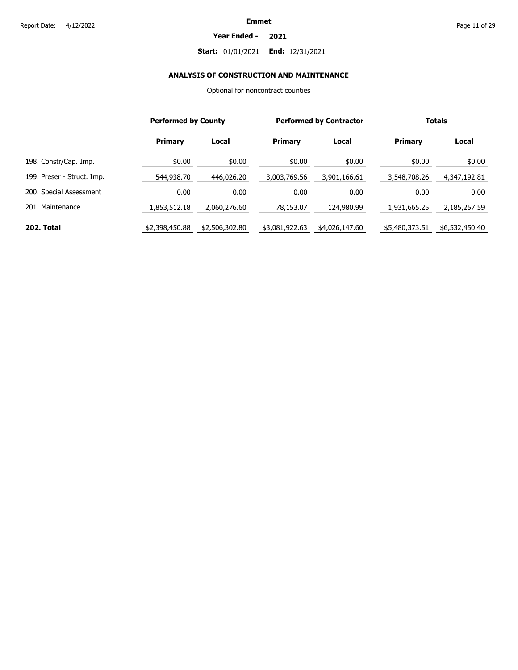### **Year Ended - 2021**

## **Start:** 01/01/2021 **End:** 12/31/2021

## **ANALYSIS OF CONSTRUCTION AND MAINTENANCE**

Optional for noncontract counties

|                            |                | <b>Performed by County</b> |                | <b>Performed by Contractor</b> |                | <b>Totals</b>  |  |
|----------------------------|----------------|----------------------------|----------------|--------------------------------|----------------|----------------|--|
|                            | <b>Primary</b> | Local                      | Primary        | Local                          | Primary        | Local          |  |
| 198. Constr/Cap. Imp.      | \$0.00         | \$0.00                     | \$0.00         | \$0.00                         | \$0.00         | \$0.00         |  |
| 199. Preser - Struct. Imp. | 544,938.70     | 446,026.20                 | 3,003,769.56   | 3,901,166.61                   | 3,548,708.26   | 4,347,192.81   |  |
| 200. Special Assessment    | 0.00           | 0.00                       | 0.00           | 0.00                           | 0.00           | 0.00           |  |
| 201. Maintenance           | 1,853,512.18   | 2,060,276.60               | 78,153.07      | 124,980.99                     | 1,931,665.25   | 2,185,257.59   |  |
| 202. Total                 | \$2,398,450.88 | \$2,506,302.80             | \$3,081,922.63 | \$4,026,147.60                 | \$5,480,373.51 | \$6,532,450.40 |  |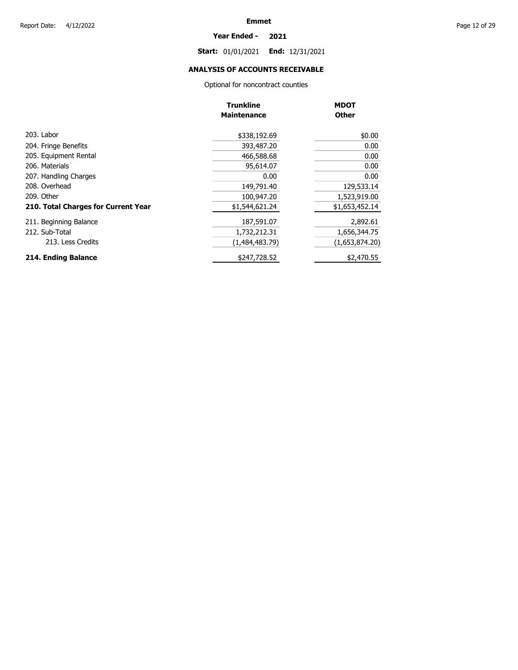### **Year Ended - 2021**

**Start:** 01/01/2021 **End:** 12/31/2021

## **ANALYSIS OF ACCOUNTS RECEIVABLE**

Optional for noncontract counties

|                                     | <b>Trunkline</b><br><b>Maintenance</b> | <b>MDOT</b><br><b>Other</b> |
|-------------------------------------|----------------------------------------|-----------------------------|
| 203. Labor                          | \$338,192.69                           | \$0.00                      |
| 204. Fringe Benefits                | 393,487.20                             | 0.00                        |
| 205. Equipment Rental               | 466,588.68                             | 0.00                        |
| 206. Materials                      | 95,614.07                              | 0.00                        |
| 207. Handling Charges               | 0.00                                   | 0.00                        |
| 208. Overhead                       | 149,791.40                             | 129,533.14                  |
| 209. Other                          | 100,947.20                             | 1,523,919.00                |
| 210. Total Charges for Current Year | \$1,544,621.24                         | \$1,653,452.14              |
| 211. Beginning Balance              | 187,591.07                             | 2,892.61                    |
| 212. Sub-Total                      | 1,732,212.31                           | 1,656,344.75                |
| 213. Less Credits                   | (1,484,483.79)                         | (1,653,874.20)              |
| 214. Ending Balance                 | \$247,728.52                           | \$2,470.55                  |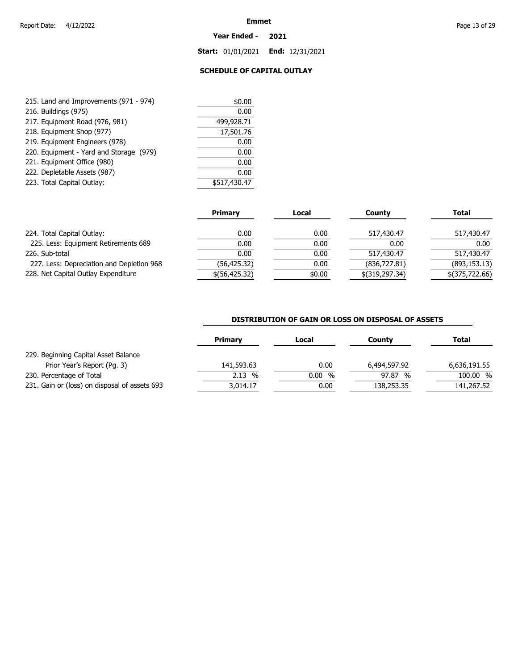### **Year Ended - 2021**

**Start:** 01/01/2021 **End:** 12/31/2021

## **SCHEDULE OF CAPITAL OUTLAY**

| 215. Land and Improvements (971 - 974)  | \$0.00       |
|-----------------------------------------|--------------|
| 216. Buildings (975)                    | 0.00         |
| 217. Equipment Road (976, 981)          | 499,928.71   |
| 218. Equipment Shop (977)               | 17,501.76    |
| 219. Equipment Engineers (978)          | 0.00         |
| 220. Equipment - Yard and Storage (979) | 0.00         |
| 221. Equipment Office (980)             | 0.00         |
| 222. Depletable Assets (987)            | 0.00         |
| 223. Total Capital Outlay:              | \$517,430.47 |
|                                         |              |

|                                           | <b>Primary</b>  | Local  | Countv           | Total          |
|-------------------------------------------|-----------------|--------|------------------|----------------|
| 224. Total Capital Outlay:                | 0.00            | 0.00   | 517,430.47       | 517,430.47     |
| 225. Less: Equipment Retirements 689      | 0.00            | 0.00   | 0.00             | 0.00           |
| 226. Sub-total                            | 0.00            | 0.00   | 517,430.47       | 517,430.47     |
| 227. Less: Depreciation and Depletion 968 | (56, 425.32)    | 0.00   | (836, 727.81)    | (893, 153.13)  |
| 228. Net Capital Outlay Expenditure       | $$$ (56,425.32) | \$0.00 | $$$ (319,297.34) | \$(375,722.66) |

### **DISTRIBUTION OF GAIN OR LOSS ON DISPOSAL OF ASSETS**

|                                               | Primary    | Local | County       | Total        |
|-----------------------------------------------|------------|-------|--------------|--------------|
| 229. Beginning Capital Asset Balance          |            |       |              |              |
| Prior Year's Report (Pq. 3)                   | 141,593.63 | 0.00  | 6,494,597.92 | 6,636,191.55 |
| 230. Percentage of Total                      | 2.13%      | 0.00% | 97.87 %      | 100.00 %     |
| 231. Gain or (loss) on disposal of assets 693 | 3,014.17   | 0.00  | 138,253.35   | 141,267.52   |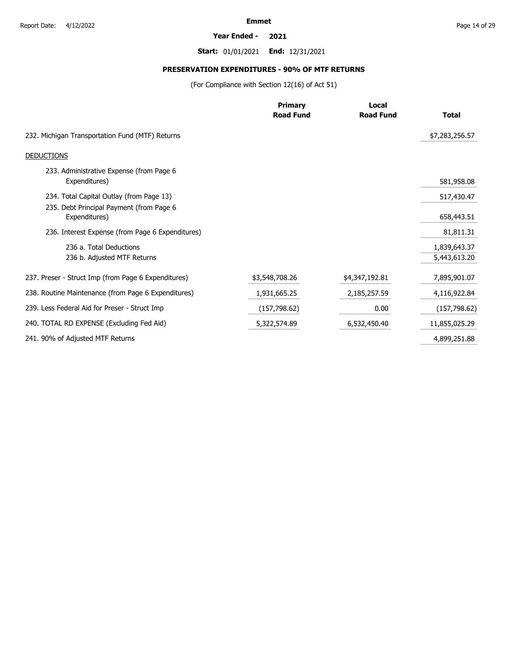### **Year Ended - 2021**

**Start:** 01/01/2021 **End:** 12/31/2021

# **PRESERVATION EXPENDITURES - 90% OF MTF RETURNS**

(For Compliance with Section 12(16) of Act 51)

|                                                           | <b>Primary</b><br><b>Road Fund</b> | Local<br><b>Road Fund</b> | <b>Total</b>   |
|-----------------------------------------------------------|------------------------------------|---------------------------|----------------|
| 232. Michigan Transportation Fund (MTF) Returns           |                                    |                           | \$7,283,256.57 |
| <b>DEDUCTIONS</b>                                         |                                    |                           |                |
| 233. Administrative Expense (from Page 6<br>Expenditures) |                                    |                           | 581,958.08     |
| 234. Total Capital Outlay (from Page 13)                  |                                    |                           | 517,430.47     |
| 235. Debt Principal Payment (from Page 6<br>Expenditures) |                                    |                           | 658,443.51     |
| 236. Interest Expense (from Page 6 Expenditures)          |                                    |                           | 81,811.31      |
| 236 a. Total Deductions                                   |                                    |                           | 1,839,643.37   |
| 236 b. Adjusted MTF Returns                               |                                    |                           | 5,443,613.20   |
| 237. Preser - Struct Imp (from Page 6 Expenditures)       | \$3,548,708.26                     | \$4,347,192.81            | 7,895,901.07   |
| 238. Routine Maintenance (from Page 6 Expenditures)       | 1,931,665.25                       | 2,185,257.59              | 4,116,922.84   |
| 239. Less Federal Aid for Preser - Struct Imp             | (157, 798.62)                      | 0.00                      | (157, 798.62)  |
| 240. TOTAL RD EXPENSE (Excluding Fed Aid)                 | 5,322,574.89                       | 6,532,450.40              | 11,855,025.29  |
| 241. 90% of Adjusted MTF Returns                          |                                    |                           | 4,899,251.88   |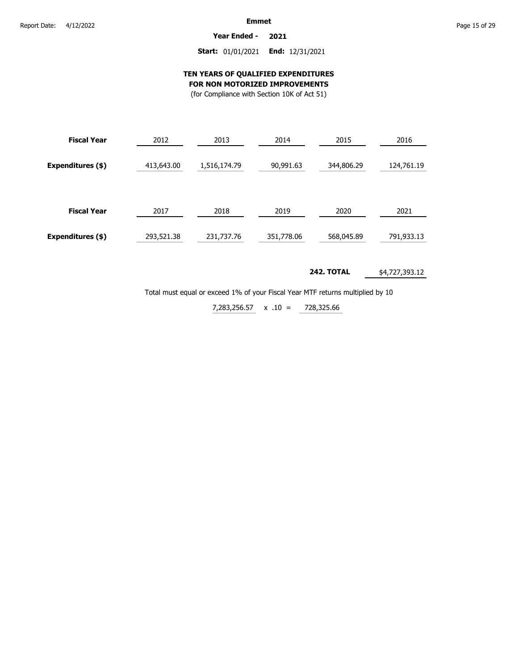**Year Ended - 2021**

### **Start:** 01/01/2021 **End:** 12/31/2021

### **TEN YEARS OF QUALIFIED EXPENDITURES FOR NON MOTORIZED IMPROVEMENTS**

(for Compliance with Section 10K of Act 51)

| <b>Fiscal Year</b> | 2012       | 2013         | 2014       | 2015       | 2016       |
|--------------------|------------|--------------|------------|------------|------------|
| Expenditures (\$)  | 413,643.00 | 1,516,174.79 | 90,991.63  | 344,806.29 | 124,761.19 |
| <b>Fiscal Year</b> | 2017       | 2018         | 2019       | 2020       | 2021       |
| Expenditures (\$)  | 293,521.38 | 231,737.76   | 351,778.06 | 568,045.89 | 791,933.13 |

#### **242. TOTAL** \$4,727,393.12

Total must equal or exceed 1% of your Fiscal Year MTF returns multiplied by 10

x .10 = 7,283,256.57 728,325.66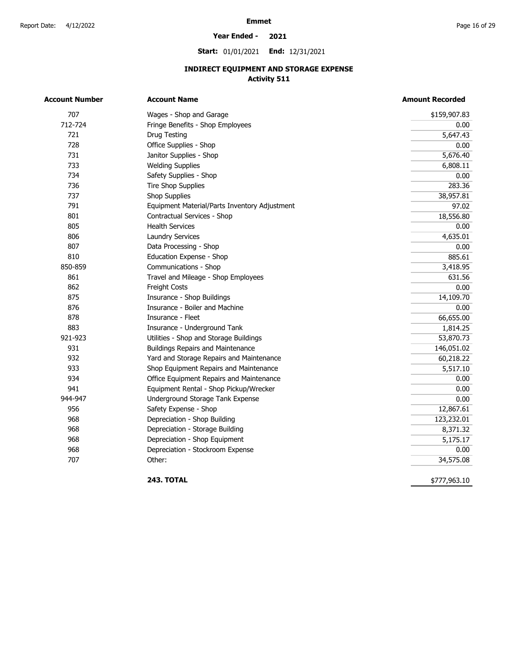### **Year Ended - 2021**

**Start:** 01/01/2021 **End:** 12/31/2021

## **INDIRECT EQUIPMENT AND STORAGE EXPENSE Activity 511**

| Account Number | <b>Account Name</b>                           | <b>Amount Recorded</b> |
|----------------|-----------------------------------------------|------------------------|
| 707            | Wages - Shop and Garage                       | \$159,907.83           |
| 712-724        | Fringe Benefits - Shop Employees              | 0.00                   |
| 721            | Drug Testing                                  | 5,647.43               |
| 728            | Office Supplies - Shop                        | 0.00                   |
| 731            | Janitor Supplies - Shop                       | 5,676.40               |
| 733            | <b>Welding Supplies</b>                       | 6,808.11               |
| 734            | Safety Supplies - Shop                        | 0.00                   |
| 736            | <b>Tire Shop Supplies</b>                     | 283.36                 |
| 737            | Shop Supplies                                 | 38,957.81              |
| 791            | Equipment Material/Parts Inventory Adjustment | 97.02                  |
| 801            | Contractual Services - Shop                   | 18,556.80              |
| 805            | <b>Health Services</b>                        | 0.00                   |
| 806            | Laundry Services                              | 4,635.01               |
| 807            | Data Processing - Shop                        | 0.00                   |
| 810            | Education Expense - Shop                      | 885.61                 |
| 850-859        | Communications - Shop                         | 3,418.95               |
| 861            | Travel and Mileage - Shop Employees           | 631.56                 |
| 862            | Freight Costs                                 | 0.00                   |
| 875            | Insurance - Shop Buildings                    | 14,109.70              |
| 876            | Insurance - Boiler and Machine                | 0.00                   |
| 878            | Insurance - Fleet                             | 66,655.00              |
| 883            | Insurance - Underground Tank                  | 1,814.25               |
| 921-923        | Utilities - Shop and Storage Buildings        | 53,870.73              |
| 931            | <b>Buildings Repairs and Maintenance</b>      | 146,051.02             |
| 932            | Yard and Storage Repairs and Maintenance      | 60,218.22              |
| 933            | Shop Equipment Repairs and Maintenance        | 5,517.10               |
| 934            | Office Equipment Repairs and Maintenance      | 0.00                   |
| 941            | Equipment Rental - Shop Pickup/Wrecker        | 0.00                   |
| 944-947        | Underground Storage Tank Expense              | 0.00                   |
| 956            | Safety Expense - Shop                         | 12,867.61              |
| 968            | Depreciation - Shop Building                  | 123,232.01             |
| 968            | Depreciation - Storage Building               | 8,371.32               |
| 968            | Depreciation - Shop Equipment                 | 5,175.17               |
| 968            | Depreciation - Stockroom Expense              | 0.00                   |
| 707            | Other:                                        | 34,575.08              |

**243. TOTAL** 

\$777,963.10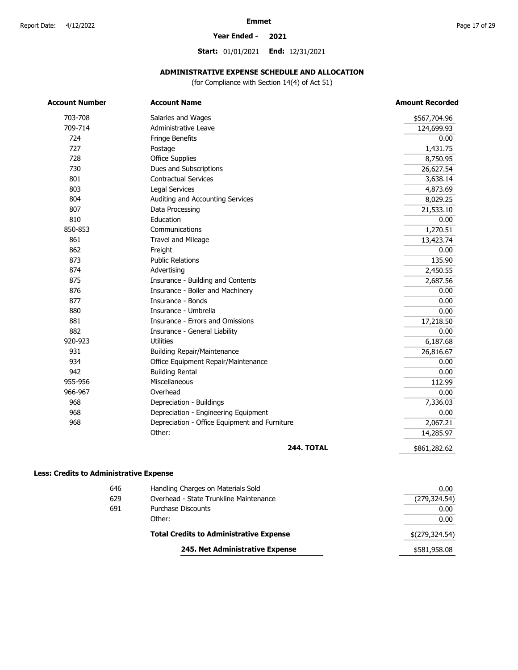### **Year Ended - 2021**

**Start:** 01/01/2021 **End:** 12/31/2021

## **ADMINISTRATIVE EXPENSE SCHEDULE AND ALLOCATION**

(for Compliance with Section 14(4) of Act 51)

| <b>Account Number</b> | <b>Account Name</b>                           | <b>Amount Recorded</b> |
|-----------------------|-----------------------------------------------|------------------------|
| 703-708               | Salaries and Wages                            | \$567,704.96           |
| 709-714               | Administrative Leave                          | 124,699.93             |
| 724                   | Fringe Benefits                               | 0.00                   |
| 727                   | Postage                                       | 1,431.75               |
| 728                   | <b>Office Supplies</b>                        | 8,750.95               |
| 730                   | Dues and Subscriptions                        | 26,627.54              |
| 801                   | <b>Contractual Services</b>                   | 3,638.14               |
| 803                   | <b>Legal Services</b>                         | 4,873.69               |
| 804                   | Auditing and Accounting Services              | 8,029.25               |
| 807                   | Data Processing                               | 21,533.10              |
| 810                   | Education                                     | 0.00                   |
| 850-853               | Communications                                | 1,270.51               |
| 861                   | Travel and Mileage                            | 13,423.74              |
| 862                   | Freight                                       | 0.00                   |
| 873                   | <b>Public Relations</b>                       | 135.90                 |
| 874                   | Advertising                                   | 2,450.55               |
| 875                   | Insurance - Building and Contents             | 2,687.56               |
| 876                   | Insurance - Boiler and Machinery              | 0.00                   |
| 877                   | Insurance - Bonds                             | 0.00                   |
| 880                   | Insurance - Umbrella                          | 0.00                   |
| 881                   | Insurance - Errors and Omissions              | 17,218.50              |
| 882                   | Insurance - General Liability                 | 0.00                   |
| 920-923               | <b>Utilities</b>                              | 6,187.68               |
| 931                   | <b>Building Repair/Maintenance</b>            | 26,816.67              |
| 934                   | Office Equipment Repair/Maintenance           | 0.00                   |
| 942                   | <b>Building Rental</b>                        | 0.00                   |
| 955-956               | Miscellaneous                                 | 112.99                 |
| 966-967               | Overhead                                      | 0.00                   |
| 968                   | Depreciation - Buildings                      | 7,336.03               |
| 968                   | Depreciation - Engineering Equipment          | 0.00                   |
| 968                   | Depreciation - Office Equipment and Furniture | 2,067.21               |
|                       | Other:                                        | 14,285.97              |
|                       | <b>244. TOTAL</b>                             | \$861,282.62           |

### **Less: Credits to Administrative Expense**

|     | 245. Net Administrative Expense                | \$581,958.08   |
|-----|------------------------------------------------|----------------|
|     | <b>Total Credits to Administrative Expense</b> | \$(279,324.54) |
|     | Other:                                         | 0.00           |
| 691 | Purchase Discounts                             | 0.00           |
| 629 | Overhead - State Trunkline Maintenance         | (279, 324.54)  |
| 646 | Handling Charges on Materials Sold             | 0.00           |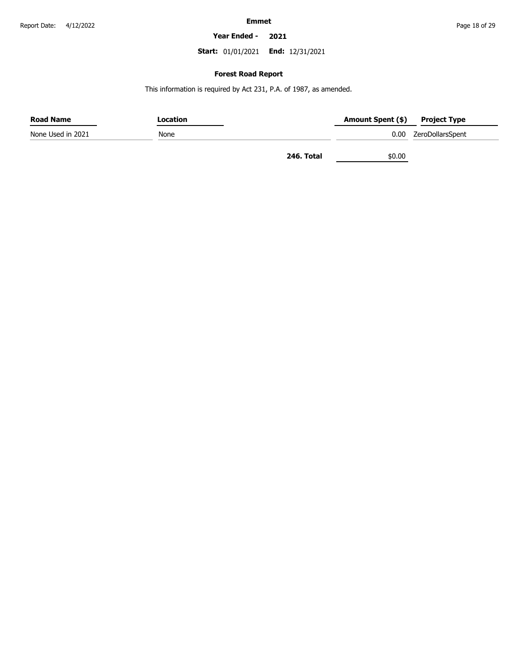### **Year Ended - 2021**

**Start:** 01/01/2021 **End:** 12/31/2021

### **Forest Road Report**

This information is required by Act 231, P.A. of 1987, as amended.

| <b>Road Name</b>  | Location |            | Amount Spent (\$) | <b>Project Type</b>   |
|-------------------|----------|------------|-------------------|-----------------------|
| None Used in 2021 | None     |            |                   | 0.00 ZeroDollarsSpent |
|                   |          | 246. Total | \$0.00            |                       |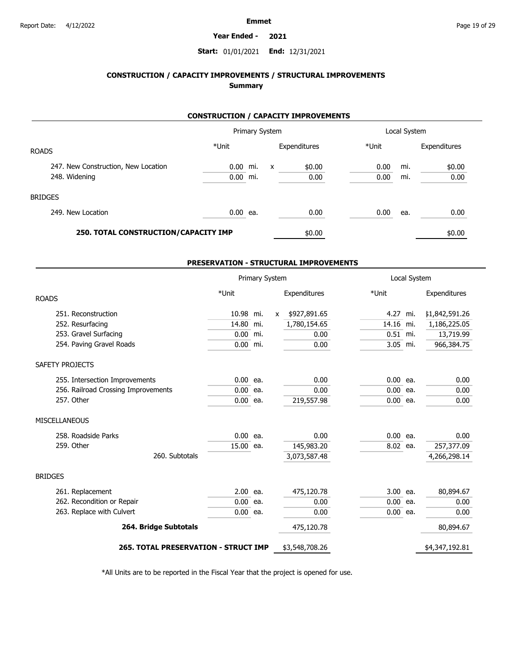### **Year Ended - 2021**

### **Start:** 01/01/2021 **End:** 12/31/2021

## **CONSTRUCTION / CAPACITY IMPROVEMENTS / STRUCTURAL IMPROVEMENTS Summary**

### **CONSTRUCTION / CAPACITY IMPROVEMENTS**

|                                      |            |     | Primary System            |              |       | Local System |              |
|--------------------------------------|------------|-----|---------------------------|--------------|-------|--------------|--------------|
| <b>ROADS</b>                         | *Unit      |     |                           | Expenditures | *Unit |              | Expenditures |
| 247. New Construction, New Location  | $0.00$ mi. |     | $\boldsymbol{\mathsf{x}}$ | \$0.00       | 0.00  | mi.          | \$0.00       |
| 248. Widening                        | 0.00       | mi. |                           | 0.00         | 0.00  | mi.          | 0.00         |
| <b>BRIDGES</b>                       |            |     |                           |              |       |              |              |
| 249. New Location                    | $0.00$ ea. |     |                           | 0.00         | 0.00  | ea.          | 0.00         |
| 250. TOTAL CONSTRUCTION/CAPACITY IMP |            |     |                           | \$0.00       |       |              | \$0.00       |

### **PRESERVATION - STRUCTURAL IMPROVEMENTS**

|                                             | Primary System |     | Local System |                |            |     |                |
|---------------------------------------------|----------------|-----|--------------|----------------|------------|-----|----------------|
| <b>ROADS</b>                                | *Unit          |     |              | Expenditures   | *Unit      |     | Expenditures   |
| 251. Reconstruction                         | 10.98          | mi. | $\mathsf{x}$ | \$927,891.65   | 4.27       | mi. | \$1,842,591.26 |
| 252. Resurfacing                            | 14.80          | mi. |              | 1,780,154.65   | 14.16 mi.  |     | 1,186,225.05   |
| 253. Gravel Surfacing                       | 0.00           | mi. |              | 0.00           | $0.51$ mi. |     | 13,719.99      |
| 254. Paving Gravel Roads                    | $0.00$ mi.     |     |              | 0.00           | $3.05$ mi. |     | 966,384.75     |
| SAFETY PROJECTS                             |                |     |              |                |            |     |                |
| 255. Intersection Improvements              | $0.00$ ea.     |     |              | 0.00           | $0.00$ ea. |     | 0.00           |
| 256. Railroad Crossing Improvements         | $0.00$ ea.     |     |              | 0.00           | $0.00$ ea. |     | 0.00           |
| 257. Other                                  | $0.00$ ea.     |     |              | 219,557.98     | $0.00$ ea. |     | 0.00           |
| <b>MISCELLANEOUS</b>                        |                |     |              |                |            |     |                |
| 258. Roadside Parks                         | $0.00$ ea.     |     |              | 0.00           | $0.00$ ea. |     | 0.00           |
| 259. Other                                  | 15.00 ea.      |     |              | 145,983.20     | $8.02$ ea. |     | 257,377.09     |
| 260. Subtotals                              |                |     |              | 3,073,587.48   |            |     | 4,266,298.14   |
| <b>BRIDGES</b>                              |                |     |              |                |            |     |                |
| 261. Replacement                            | $2.00$ ea.     |     |              | 475,120.78     | $3.00$ ea. |     | 80,894.67      |
| 262. Recondition or Repair                  | $0.00$ ea.     |     |              | 0.00           | $0.00$ ea. |     | 0.00           |
| 263. Replace with Culvert                   | $0.00$ ea.     |     |              | 0.00           | $0.00$ ea. |     | 0.00           |
| 264. Bridge Subtotals                       |                |     |              | 475,120.78     |            |     | 80,894.67      |
| <b>265. TOTAL PRESERVATION - STRUCT IMP</b> |                |     |              | \$3,548,708.26 |            |     | \$4,347,192.81 |

\*All Units are to be reported in the Fiscal Year that the project is opened for use.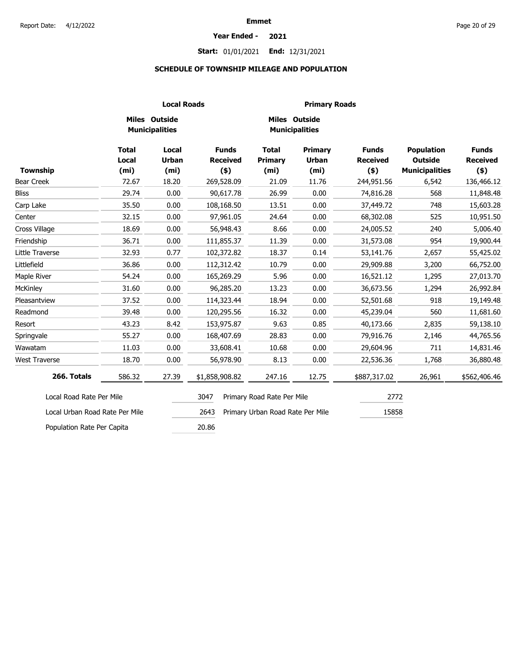### **Year Ended - 2021**

## **Start:** 01/01/2021 **End:** 12/31/2021

### **SCHEDULE OF TOWNSHIP MILEAGE AND POPULATION**

|                                | <b>Local Roads</b>                                |                                                   |                                            |                                                     | <b>Primary Roads</b>                         |                                            |                                                              |                                            |
|--------------------------------|---------------------------------------------------|---------------------------------------------------|--------------------------------------------|-----------------------------------------------------|----------------------------------------------|--------------------------------------------|--------------------------------------------------------------|--------------------------------------------|
|                                |                                                   | Miles Outside<br><b>Municipalities</b>            |                                            |                                                     | Miles Outside<br><b>Municipalities</b>       |                                            |                                                              |                                            |
| <b>Township</b>                | <b>Total</b><br><b>Local</b><br>(m <sub>i</sub> ) | <b>Local</b><br><b>Urban</b><br>(m <sub>i</sub> ) | <b>Funds</b><br><b>Received</b><br>$($ \$) | <b>Total</b><br><b>Primary</b><br>(m <sub>i</sub> ) | Primary<br><b>Urban</b><br>(m <sub>i</sub> ) | <b>Funds</b><br><b>Received</b><br>$($ \$) | <b>Population</b><br><b>Outside</b><br><b>Municipalities</b> | <b>Funds</b><br><b>Received</b><br>$($ \$) |
| Bear Creek                     | 72.67                                             | 18.20                                             | 269,528.09                                 | 21.09                                               | 11.76                                        | 244,951.56                                 | 6,542                                                        | 136,466.12                                 |
| <b>Bliss</b>                   | 29.74                                             | 0.00                                              | 90,617.78                                  | 26.99                                               | 0.00                                         | 74,816.28                                  | 568                                                          | 11,848.48                                  |
| Carp Lake                      | 35.50                                             | 0.00                                              | 108,168.50                                 | 13.51                                               | 0.00                                         | 37,449.72                                  | 748                                                          | 15,603.28                                  |
| Center                         | 32.15                                             | 0.00                                              | 97,961.05                                  | 24.64                                               | 0.00                                         | 68,302.08                                  | 525                                                          | 10,951.50                                  |
| Cross Village                  | 18.69                                             | 0.00                                              | 56,948.43                                  | 8.66                                                | 0.00                                         | 24,005.52                                  | 240                                                          | 5,006.40                                   |
| Friendship                     | 36.71                                             | 0.00                                              | 111,855.37                                 | 11.39                                               | 0.00                                         | 31,573.08                                  | 954                                                          | 19,900.44                                  |
| Little Traverse                | 32.93                                             | 0.77                                              | 102,372.82                                 | 18.37                                               | 0.14                                         | 53,141.76                                  | 2,657                                                        | 55,425.02                                  |
| Littlefield                    | 36.86                                             | 0.00                                              | 112,312.42                                 | 10.79                                               | 0.00                                         | 29,909.88                                  | 3,200                                                        | 66,752.00                                  |
| Maple River                    | 54.24                                             | 0.00                                              | 165,269.29                                 | 5.96                                                | 0.00                                         | 16,521.12                                  | 1,295                                                        | 27,013.70                                  |
| <b>McKinley</b>                | 31.60                                             | 0.00                                              | 96,285.20                                  | 13.23                                               | 0.00                                         | 36,673.56                                  | 1,294                                                        | 26,992.84                                  |
| Pleasantview                   | 37.52                                             | 0.00                                              | 114,323.44                                 | 18.94                                               | 0.00                                         | 52,501.68                                  | 918                                                          | 19,149.48                                  |
| Readmond                       | 39.48                                             | 0.00                                              | 120,295.56                                 | 16.32                                               | 0.00                                         | 45,239.04                                  | 560                                                          | 11,681.60                                  |
| Resort                         | 43.23                                             | 8.42                                              | 153,975.87                                 | 9.63                                                | 0.85                                         | 40,173.66                                  | 2,835                                                        | 59,138.10                                  |
| Springvale                     | 55.27                                             | 0.00                                              | 168,407.69                                 | 28.83                                               | 0.00                                         | 79,916.76                                  | 2,146                                                        | 44,765.56                                  |
| Wawatam                        | 11.03                                             | 0.00                                              | 33,608.41                                  | 10.68                                               | 0.00                                         | 29,604.96                                  | 711                                                          | 14,831.46                                  |
| <b>West Traverse</b>           | 18.70                                             | 0.00                                              | 56,978.90                                  | 8.13                                                | 0.00                                         | 22,536.36                                  | 1,768                                                        | 36,880.48                                  |
| 266. Totals                    | 586.32                                            | 27.39                                             | \$1,858,908.82                             | 247.16                                              | 12.75                                        | \$887,317.02                               | 26,961                                                       | \$562,406.46                               |
| Local Road Rate Per Mile       |                                                   |                                                   | 3047                                       | Primary Road Rate Per Mile                          |                                              | 2772                                       |                                                              |                                            |
| Local Urban Road Rate Per Mile |                                                   |                                                   | 2643                                       | Primary Urban Road Rate Per Mile                    |                                              | 15858                                      |                                                              |                                            |
| Population Rate Per Capita     |                                                   |                                                   | 20.86                                      |                                                     |                                              |                                            |                                                              |                                            |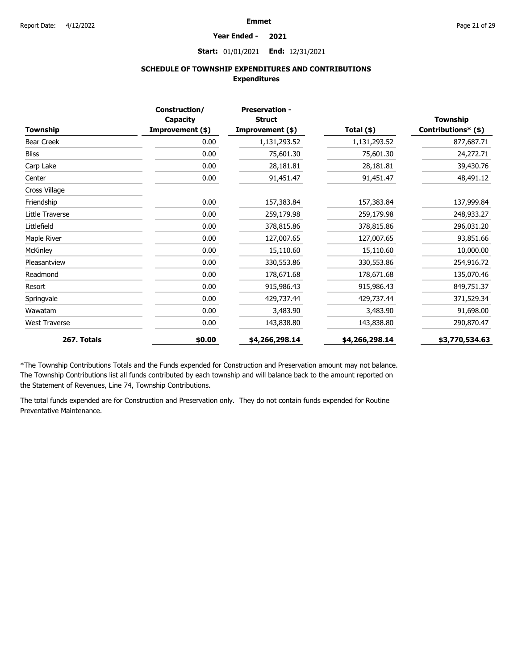#### **Year Ended - 2021**

**Start:** 01/01/2021 **End:** 12/31/2021

### **SCHEDULE OF TOWNSHIP EXPENDITURES AND CONTRIBUTIONS Expenditures**

|                      | Construction/                | <b>Preservation -</b>             |                |                                        |
|----------------------|------------------------------|-----------------------------------|----------------|----------------------------------------|
| Township             | Capacity<br>Improvement (\$) | <b>Struct</b><br>Improvement (\$) | Total (\$)     | <b>Township</b><br>Contributions* (\$) |
| Bear Creek           | 0.00                         | 1,131,293.52                      | 1,131,293.52   | 877,687.71                             |
| <b>Bliss</b>         | 0.00                         | 75,601.30                         | 75,601.30      | 24,272.71                              |
| Carp Lake            | 0.00                         | 28,181.81                         | 28,181.81      | 39,430.76                              |
| Center               | 0.00                         | 91,451.47                         | 91,451.47      | 48,491.12                              |
| Cross Village        |                              |                                   |                |                                        |
| Friendship           | 0.00                         | 157,383.84                        | 157,383.84     | 137,999.84                             |
| Little Traverse      | 0.00                         | 259,179.98                        | 259,179.98     | 248,933.27                             |
| Littlefield          | 0.00                         | 378,815.86                        | 378,815.86     | 296,031.20                             |
| Maple River          | 0.00                         | 127,007.65                        | 127,007.65     | 93,851.66                              |
| McKinley             | 0.00                         | 15,110.60                         | 15,110.60      | 10,000.00                              |
| Pleasantview         | 0.00                         | 330,553.86                        | 330,553.86     | 254,916.72                             |
| Readmond             | 0.00                         | 178,671.68                        | 178,671.68     | 135,070.46                             |
| Resort               | 0.00                         | 915,986.43                        | 915,986.43     | 849,751.37                             |
| Springvale           | 0.00                         | 429,737.44                        | 429,737.44     | 371,529.34                             |
| Wawatam              | 0.00                         | 3,483.90                          | 3,483.90       | 91,698.00                              |
| <b>West Traverse</b> | 0.00                         | 143,838.80                        | 143,838.80     | 290,870.47                             |
| 267. Totals          | \$0.00                       | \$4,266,298.14                    | \$4,266,298.14 | \$3,770,534.63                         |

\*The Township Contributions Totals and the Funds expended for Construction and Preservation amount may not balance. The Township Contributions list all funds contributed by each township and will balance back to the amount reported on the Statement of Revenues, Line 74, Township Contributions.

The total funds expended are for Construction and Preservation only. They do not contain funds expended for Routine Preventative Maintenance.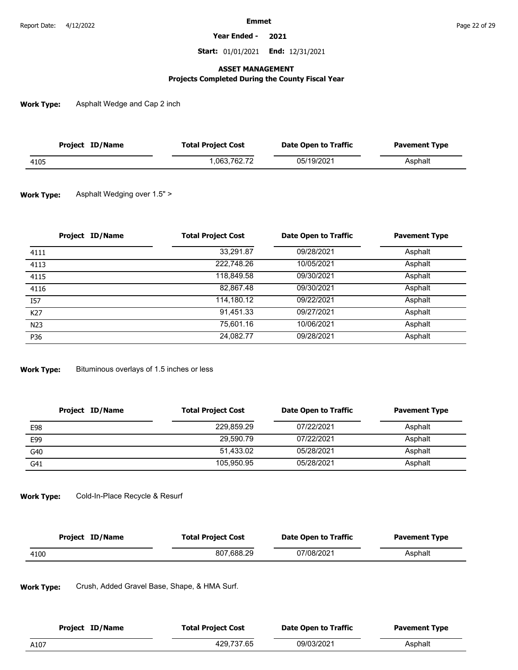**Year Ended - 2021**

**Start:** 01/01/2021 **End:** 12/31/2021

### **ASSET MANAGEMENT**

### **Projects Completed During the County Fiscal Year**

**Work Type:** Asphalt Wedge and Cap 2 inch

| Project ID/Name | <b>Total Project Cost</b> | Date Open to Traffic | <b>Pavement Type</b> |
|-----------------|---------------------------|----------------------|----------------------|
| 4105            | .063.762.72               | 05/19/2021           | Asphalt              |

#### **Work Type:** Asphalt Wedging over 1.5" >

| Project ID/Name | <b>Total Project Cost</b> | <b>Date Open to Traffic</b> | <b>Pavement Type</b> |
|-----------------|---------------------------|-----------------------------|----------------------|
| 4111            | 33,291.87                 | 09/28/2021                  | Asphalt              |
| 4113            | 222.748.26                | 10/05/2021                  | Asphalt              |
| 4115            | 118,849.58                | 09/30/2021                  | Asphalt              |
| 4116            | 82,867.48                 | 09/30/2021                  | Asphalt              |
| I57             | 114,180.12                | 09/22/2021                  | Asphalt              |
| K27             | 91,451.33                 | 09/27/2021                  | Asphalt              |
| N <sub>23</sub> | 75.601.16                 | 10/06/2021                  | Asphalt              |
| P36             | 24,082.77                 | 09/28/2021                  | Asphalt              |

**Work Type:** Bituminous overlays of 1.5 inches or less

| Project ID/Name | <b>Total Project Cost</b> | Date Open to Traffic | <b>Pavement Type</b> |
|-----------------|---------------------------|----------------------|----------------------|
| E98             | 229,859.29                | 07/22/2021           | Asphalt              |
| E99             | 29.590.79                 | 07/22/2021           | Asphalt              |
| G40             | 51,433.02                 | 05/28/2021           | Asphalt              |
| G41             | 105.950.95                | 05/28/2021           | Asphalt              |

#### **Work Type:** Cold-In-Place Recycle & Resurf

| Project ID/Name | <b>Total Project Cost</b> | Date Open to Traffic | <b>Pavement Type</b> |
|-----------------|---------------------------|----------------------|----------------------|
| 4100            | 807.688.29                | 07/08/2021           | Asphalt              |

**Work Type:** Crush, Added Gravel Base, Shape, & HMA Surf.

| Project ID/Name | <b>Total Project Cost</b> | Date Open to Traffic | <b>Pavement Type</b> |
|-----------------|---------------------------|----------------------|----------------------|
| A107            | 429.737.65                | 09/03/2021           | Asphalt              |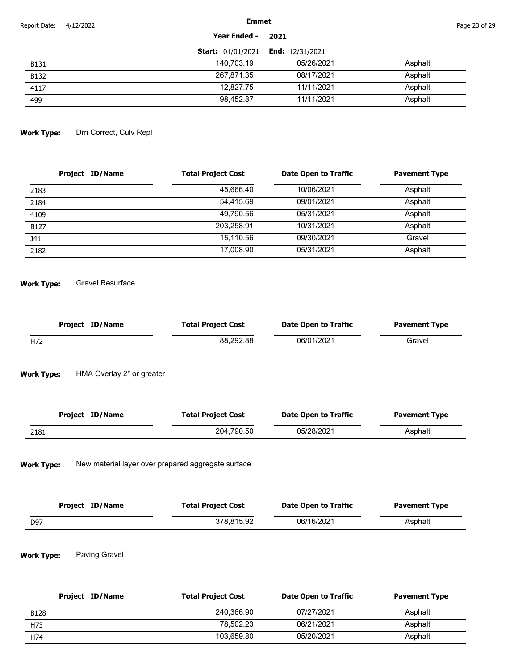| Report Date: | 4/12/2022 | <b>Emmet</b>             | Page 23 of 29            |         |
|--------------|-----------|--------------------------|--------------------------|---------|
|              |           | Year Ended -             | 2021                     |         |
|              |           | <b>Start: 01/01/2021</b> | <b>End:</b> $12/31/2021$ |         |
| <b>B131</b>  |           | 140,703.19               | 05/26/2021               | Asphalt |
| <b>B132</b>  |           | 267,871.35               | 08/17/2021               | Asphalt |
| 4117         |           | 12.827.75                | 11/11/2021               | Asphalt |
| 499          |           | 98,452.87                | 11/11/2021               | Asphalt |

#### **Work Type:** Drn Correct, Culv Repl

| <b>Project ID/Name</b> | <b>Total Project Cost</b> | <b>Date Open to Traffic</b> | <b>Pavement Type</b> |
|------------------------|---------------------------|-----------------------------|----------------------|
| 2183                   | 45,666.40                 | 10/06/2021                  | Asphalt              |
| 2184                   | 54.415.69                 | 09/01/2021                  | Asphalt              |
| 4109                   | 49.790.56                 | 05/31/2021                  | Asphalt              |
| <b>B127</b>            | 203.258.91                | 10/31/2021                  | Asphalt              |
| J41                    | 15.110.56                 | 09/30/2021                  | Gravel               |
| 2182                   | 17,008.90                 | 05/31/2021                  | Asphalt              |

**Work Type:** Gravel Resurface

| Project ID/Name | <b>Total Project Cost</b> | <b>Date Open to Traffic</b> | <b>Pavement Type</b> |
|-----------------|---------------------------|-----------------------------|----------------------|
| H72             | 88.292.88                 | 06/01/2021                  | Gravel               |

**Work Type:** HMA Overlay 2" or greater

| Project ID/Name | <b>Total Project Cost</b> | Date Open to Traffic | <b>Pavement Type</b> |
|-----------------|---------------------------|----------------------|----------------------|
| 2181            | 204.790.50                | 05/28/2021           | Asphalt              |

**Work Type:** New material layer over prepared aggregate surface

| Project ID/Name | <b>Total Project Cost</b> | Date Open to Traffic | <b>Pavement Type</b> |
|-----------------|---------------------------|----------------------|----------------------|
| D97             | 378.815.92                | 06/16/2021           | Asphalt              |

#### **Work Type:** Paving Gravel

| Project ID/Name | <b>Total Project Cost</b> | Date Open to Traffic | <b>Pavement Type</b> |
|-----------------|---------------------------|----------------------|----------------------|
| <b>B128</b>     | 240.366.90                | 07/27/2021           | Asphalt              |
| H73             | 78.502.23                 | 06/21/2021           | Asphalt              |
| H74             | 103.659.80                | 05/20/2021           | Asphalt              |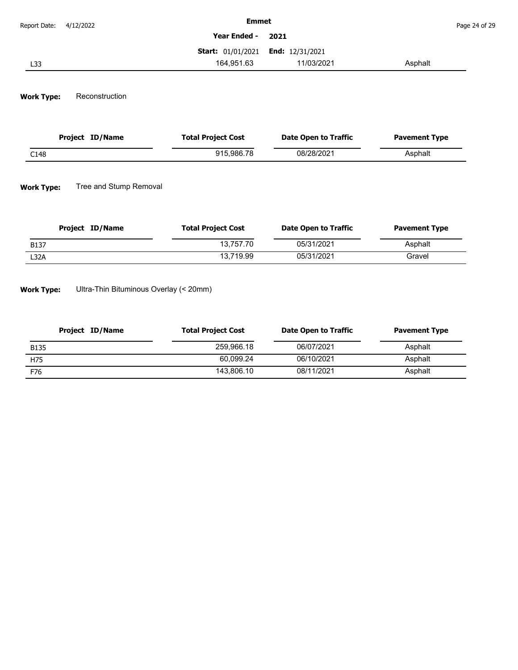| Report Date: 4/12/2022 | <b>Emmet</b>                             |            |         | Page 24 of 29 |
|------------------------|------------------------------------------|------------|---------|---------------|
|                        | Year Ended - 2021                        |            |         |               |
|                        | <b>Start: 01/01/2021 End: 12/31/2021</b> |            |         |               |
| L33                    | 164.951.63                               | 11/03/2021 | Asphalt |               |

#### **Work Type:** Reconstruction

| Project ID/Name | <b>Total Project Cost</b> | Date Open to Traffic | <b>Pavement Type</b> |
|-----------------|---------------------------|----------------------|----------------------|
| C148            | 915.986.78                | 08/28/2021           | Asphalt              |

#### **Work Type:** Tree and Stump Removal

| Project ID/Name | <b>Total Project Cost</b> | <b>Date Open to Traffic</b> | <b>Pavement Type</b> |
|-----------------|---------------------------|-----------------------------|----------------------|
| <b>B137</b>     | 13.757.70                 | 05/31/2021                  | Asphalt              |
| L32A            | 13.719.99                 | 05/31/2021                  | Gravel               |

**Work Type:** Ultra-Thin Bituminous Overlay (< 20mm)

| Project ID/Name | <b>Total Project Cost</b> | Date Open to Traffic | <b>Pavement Type</b> |
|-----------------|---------------------------|----------------------|----------------------|
| <b>B135</b>     | 259.966.18                | 06/07/2021           | Asphalt              |
| H75             | 60.099.24                 | 06/10/2021           | Asphalt              |
| F76             | 143.806.10                | 08/11/2021           | Asphalt              |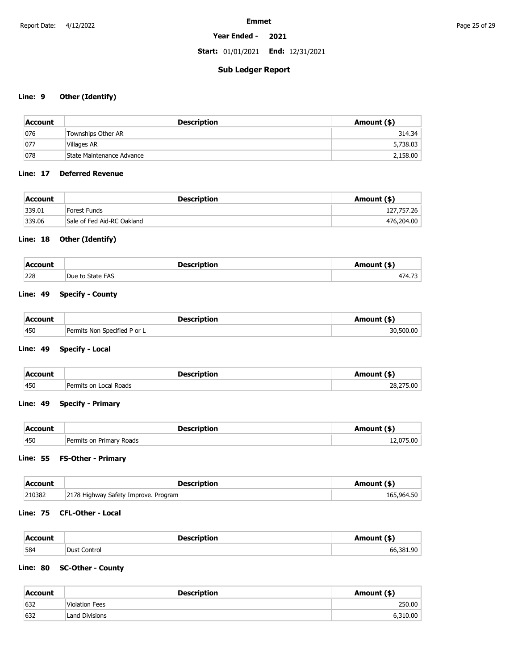### **Year Ended - 2021**

**Start:** 01/01/2021 **End:** 12/31/2021

## **Sub Ledger Report**

### **Line: 9 Other (Identify)**

| Account | <b>Description</b>        | Amount (\$) |
|---------|---------------------------|-------------|
| 076     | Townships Other AR        | 314.34      |
| 077     | Villages AR               | 5,738.03    |
| 078     | State Maintenance Advance | 2,158.00    |

### **Line: 17 Deferred Revenue**

| Account | Description                | Amount (\$) |
|---------|----------------------------|-------------|
| 339.01  | Forest Funds               | 127,757.26  |
| 339.06  | Sale of Fed Aid-RC Oakland | 476,204.00  |

### **Line: 18 Other (Identify)**

| Account    | <b>Description</b> | Amount (\$) |
|------------|--------------------|-------------|
| 228<br>___ | Due to State FAS   | 171 72      |

## **Line: 49 Specify - County**

| Account | <b>Description</b>           | Amount (\$)   |
|---------|------------------------------|---------------|
| 450     | Permits Non Specified P or L | .500.00<br>30 |

### **Line: 49 Specify - Local**

| Account | <b>Description</b>     | Amount (\$) |
|---------|------------------------|-------------|
| 450     | Permits on Local Roads | 28,275.00   |

### **Line: 49 Specify - Primary**

| <b>Account</b> | <b>Description</b>            | Amount (\$) |
|----------------|-------------------------------|-------------|
| 450            | Permits on Primary Roads<br>. |             |

### **Line: 55 FS-Other - Primary**

| Account | <b>Description</b>                   | Amount (\$) |
|---------|--------------------------------------|-------------|
| 210382  | 2178 Highway Safety Improve. Program | 165,964.50  |

### **Line: 75 CFL-Other - Local**

| Account | <b>Description</b> | Amount (\$'    |
|---------|--------------------|----------------|
| 584     | Dust Control       | an l<br>66 381 |

### **Line: 80 SC-Other - County**

| Account | <b>Description</b>    | Amount (\$) |
|---------|-----------------------|-------------|
| 632     | <b>Violation Fees</b> | 250.00      |
| 632     | <b>Land Divisions</b> | 6,310.00    |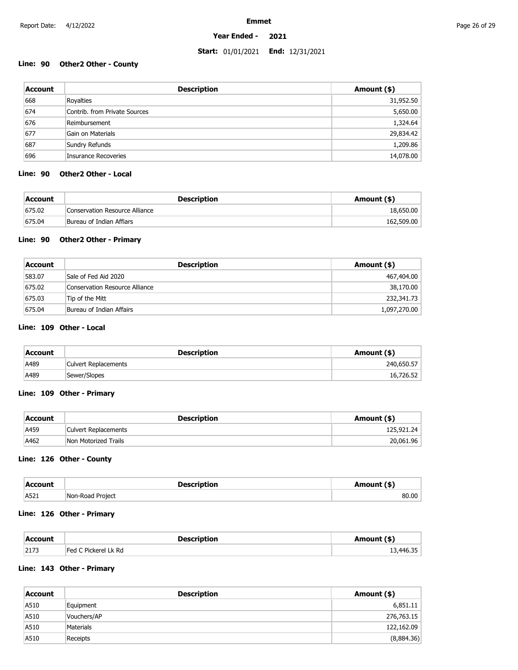### **Year Ended - 2021**

### **Start:** 01/01/2021 **End:** 12/31/2021

### **Line: 90 Other2 Other - County**

| <b>Account</b> | <b>Description</b>            | Amount (\$) |
|----------------|-------------------------------|-------------|
| 668            | Royalties                     | 31,952.50   |
| 674            | Contrib, from Private Sources | 5,650.00    |
| 676            | Reimbursement                 | 1,324.64    |
| 677            | Gain on Materials             | 29,834.42   |
| 687            | Sundry Refunds                | 1,209.86    |
| 696            | Insurance Recoveries          | 14,078.00   |

### **Line: 90 Other2 Other - Local**

| Account | <b>Description</b>             | Amount (\$) |
|---------|--------------------------------|-------------|
| 675.02  | Conservation Resource Alliance | 18,650.00   |
| 675.04  | Bureau of Indian Affiars       | 162,509.00  |

### **Line: 90 Other2 Other - Primary**

| Account | <b>Description</b>             | Amount (\$)  |
|---------|--------------------------------|--------------|
| 583.07  | Sale of Fed Aid 2020           | 467,404.00   |
| 675.02  | Conservation Resource Alliance | 38,170.00    |
| 675.03  | Tip of the Mitt                | 232,341.73   |
| 675.04  | Bureau of Indian Affairs       | 1,097,270.00 |

### **Line: 109 Other - Local**

| Account | <b>Description</b>   | Amount (\$) |
|---------|----------------------|-------------|
| A489    | Culvert Replacements | 240,650.57  |
| A489    | Sewer/Slopes         | 16,726.52   |

### **Line: 109 Other - Primary**

| Account | <b>Description</b>          | Amount (\$) |
|---------|-----------------------------|-------------|
| A459    | <b>Culvert Replacements</b> | 125,921.24  |
| A462    | Non Motorized Trails        | 20,061.96   |

### **Line: 126 Other - County**

| Account | <b>Description</b> | Amount (\$' |
|---------|--------------------|-------------|
| A521    | Non-Road Project   | . ೧೧        |

### **Line: 126 Other - Primary**

| Account | <b>Description</b>   | Amount (\$) |
|---------|----------------------|-------------|
| 2173    | Fed C Pickerel Lk Rd | 13,446.35   |

### **Line: 143 Other - Primary**

| Account | <b>Description</b> | Amount (\$) |
|---------|--------------------|-------------|
| A510    | Equipment          | 6,851.11    |
| A510    | Vouchers/AP        | 276,763.15  |
| A510    | Materials          | 122,162.09  |
| A510    | Receipts           | (8,884.36)  |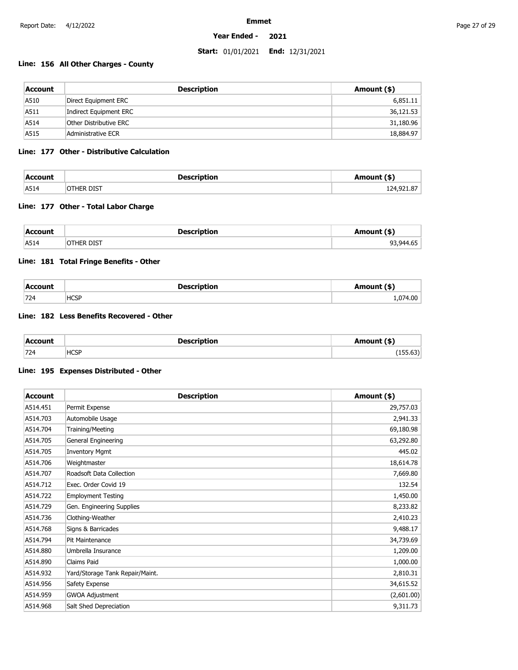### **Year Ended - 2021**

### **Start:** 01/01/2021 **End:** 12/31/2021

### **Line: 156 All Other Charges - County**

| Account | <b>Description</b>     | Amount (\$) |
|---------|------------------------|-------------|
| A510    | Direct Equipment ERC   | 6,851.11    |
| A511    | Indirect Equipment ERC | 36,121.53   |
| A514    | Other Distributive ERC | 31,180.96   |
| A515    | Administrative ECR     | 18,884.97   |

### **Line: 177 Other - Distributive Calculation**

| Account | <b>Description</b> | Amount (\$) |
|---------|--------------------|-------------|
| A514    | OTHER DIST         | 124,921.87  |

### **Line: 177 Other - Total Labor Charge**

| Account | <b>Description</b> | Amount (\$) |
|---------|--------------------|-------------|
| A514    | <b>DIST</b><br>--- | .944.65     |

### **Line: 181 Total Fringe Benefits - Other**

| <b>Account</b> | <b>Description</b> | Amount (\$) |
|----------------|--------------------|-------------|
| 724            | <b>HCSP</b>        | 1,074.00    |

### **Line: 182 Less Benefits Recovered - Other**

| Account | <b>Description</b> | Amount (\$) |
|---------|--------------------|-------------|
| 724     | <b>HCSP</b>        | $\sim$      |

### **Line: 195 Expenses Distributed - Other**

| <b>Account</b> | <b>Description</b>              | Amount (\$) |
|----------------|---------------------------------|-------------|
| A514.451       | Permit Expense                  | 29,757.03   |
| A514.703       | Automobile Usage                | 2,941.33    |
| A514.704       | Training/Meeting                | 69,180.98   |
| A514.705       | General Engineering             | 63,292.80   |
| A514.705       | <b>Inventory Mgmt</b>           | 445.02      |
| A514.706       | Weightmaster                    | 18,614.78   |
| A514.707       | Roadsoft Data Collection        | 7,669.80    |
| A514.712       | Exec. Order Covid 19            | 132.54      |
| A514.722       | <b>Employment Testing</b>       | 1,450.00    |
| A514.729       | Gen. Engineering Supplies       | 8,233.82    |
| A514.736       | Clothing-Weather                | 2,410.23    |
| A514.768       | Signs & Barricades              | 9,488.17    |
| A514.794       | Pit Maintenance                 | 34,739.69   |
| A514.880       | Umbrella Insurance              | 1,209.00    |
| A514.890       | Claims Paid                     | 1,000.00    |
| A514.932       | Yard/Storage Tank Repair/Maint. | 2,810.31    |
| A514.956       | Safety Expense                  | 34,615.52   |
| A514.959       | <b>GWOA Adjustment</b>          | (2,601.00)  |
| A514.968       | Salt Shed Depreciation          | 9,311.73    |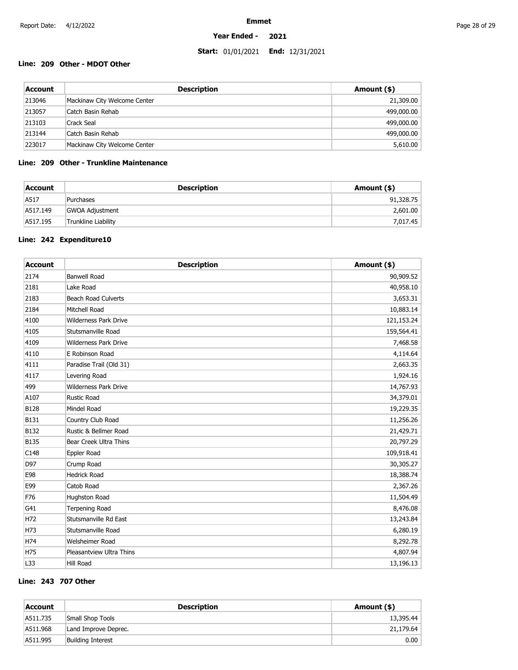### **Year Ended - 2021**

## **Start:** 01/01/2021 **End:** 12/31/2021

## **Line: 209 Other - MDOT Other**

| Account | <b>Description</b>           | Amount (\$) |
|---------|------------------------------|-------------|
| 213046  | Mackinaw City Welcome Center | 21,309.00   |
| 213057  | Catch Basin Rehab            | 499,000.00  |
| 213103  | Crack Seal                   | 499,000.00  |
| 213144  | Catch Basin Rehab            | 499,000.00  |
| 223017  | Mackinaw City Welcome Center | 5,610.00    |

## **Line: 209 Other - Trunkline Maintenance**

| Account  | <b>Description</b>         | Amount (\$) |
|----------|----------------------------|-------------|
| A517     | Purchases                  | 91,328.75   |
| A517.149 | GWOA Adjustment            | 2,601.00    |
| A517.195 | <b>Trunkline Liability</b> | 7,017.45    |

### **Line: 242 Expenditure10**

| <b>Account</b> | <b>Description</b>           | Amount (\$) |
|----------------|------------------------------|-------------|
| 2174           | <b>Banwell Road</b>          | 90,909.52   |
| 2181           | Lake Road                    | 40,958.10   |
| 2183           | <b>Beach Road Culverts</b>   | 3,653.31    |
| 2184           | Mitchell Road                | 10,883.14   |
| 4100           | <b>Wilderness Park Drive</b> | 121,153.24  |
| 4105           | Stutsmanville Road           | 159,564.41  |
| 4109           | <b>Wilderness Park Drive</b> | 7,468.58    |
| 4110           | E Robinson Road              | 4,114.64    |
| 4111           | Paradise Trail (Old 31)      | 2,663.35    |
| 4117           | Levering Road                | 1,924.16    |
| 499            | <b>Wilderness Park Drive</b> | 14,767.93   |
| A107           | <b>Rustic Road</b>           | 34,379.01   |
| <b>B128</b>    | Mindel Road                  | 19,229.35   |
| <b>B131</b>    | Country Club Road            | 11,256.26   |
| <b>B132</b>    | Rustic & Bellmer Road        | 21,429.71   |
| <b>B135</b>    | Bear Creek Ultra Thins       | 20,797.29   |
| C148           | Eppler Road                  | 109,918.41  |
| D97            | Crump Road                   | 30,305.27   |
| E98            | <b>Hedrick Road</b>          | 18,388.74   |
| E99            | Catob Road                   | 2,367.26    |
| F76            | Hughston Road                | 11,504.49   |
| G41            | <b>Terpening Road</b>        | 8,476.08    |
| H72            | Stutsmanville Rd East        | 13,243.84   |
| H73            | Stutsmanville Road           | 6,280.19    |
| H74            | Welsheimer Road              | 8,292.78    |
| H75            | Pleasantview Ultra Thins     | 4,807.94    |
| L33            | <b>Hill Road</b>             | 13,196.13   |

## **Line: 243 707 Other**

| Account  | <b>Description</b>       | Amount (\$) |
|----------|--------------------------|-------------|
| A511.735 | Small Shop Tools         | 13,395.44   |
| A511.968 | Land Improve Deprec.     | 21,179.64   |
| A511.995 | <b>Building Interest</b> | 0.00        |